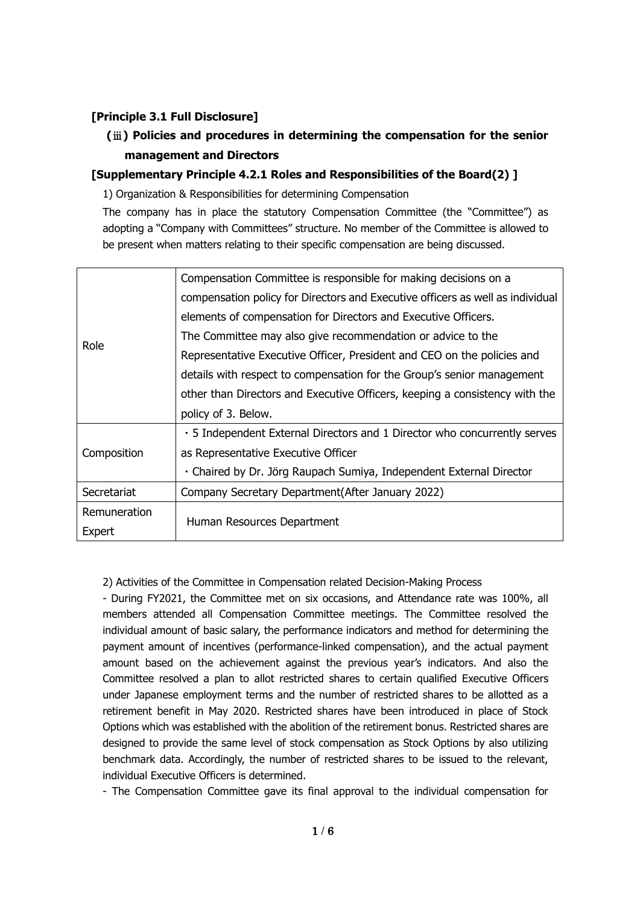# **[Principle 3.1 Full Disclosure]**

# **(**ⅲ**) Policies and procedures in determining the compensation for the senior management and Directors**

# **[Supplementary Principle 4.2.1 Roles and Responsibilities of the Board(2) ]**

1) Organization & Responsibilities for determining Compensation

The company has in place the statutory Compensation Committee (the "Committee") as adopting a "Company with Committees" structure. No member of the Committee is allowed to be present when matters relating to their specific compensation are being discussed.

|              | Compensation Committee is responsible for making decisions on a                |
|--------------|--------------------------------------------------------------------------------|
|              | compensation policy for Directors and Executive officers as well as individual |
|              | elements of compensation for Directors and Executive Officers.                 |
| Role         | The Committee may also give recommendation or advice to the                    |
|              | Representative Executive Officer, President and CEO on the policies and        |
|              | details with respect to compensation for the Group's senior management         |
|              | other than Directors and Executive Officers, keeping a consistency with the    |
|              | policy of 3. Below.                                                            |
|              | • 5 Independent External Directors and 1 Director who concurrently serves      |
| Composition  | as Representative Executive Officer                                            |
|              | · Chaired by Dr. Jörg Raupach Sumiya, Independent External Director            |
| Secretariat  | Company Secretary Department (After January 2022)                              |
| Remuneration |                                                                                |
| Expert       | Human Resources Department                                                     |

## 2) Activities of the Committee in Compensation related Decision-Making Process

- During FY2021, the Committee met on six occasions, and Attendance rate was 100%, all members attended all Compensation Committee meetings. The Committee resolved the individual amount of basic salary, the performance indicators and method for determining the payment amount of incentives (performance-linked compensation), and the actual payment amount based on the achievement against the previous year's indicators. And also the Committee resolved a plan to allot restricted shares to certain qualified Executive Officers under Japanese employment terms and the number of restricted shares to be allotted as a retirement benefit in May 2020. Restricted shares have been introduced in place of Stock Options which was established with the abolition of the retirement bonus. Restricted shares are designed to provide the same level of stock compensation as Stock Options by also utilizing benchmark data. Accordingly, the number of restricted shares to be issued to the relevant, individual Executive Officers is determined.

- The Compensation Committee gave its final approval to the individual compensation for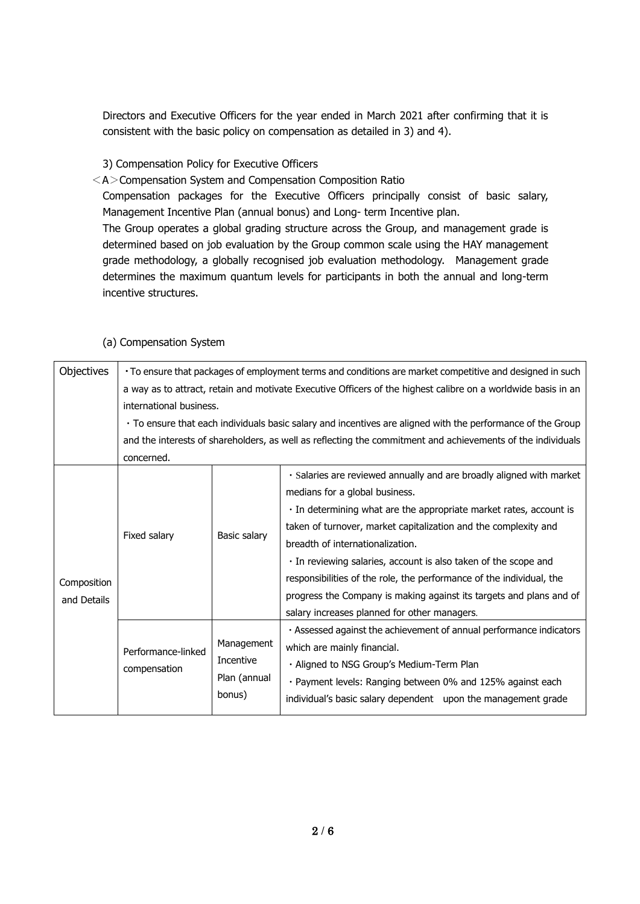Directors and Executive Officers for the year ended in March 2021 after confirming that it is consistent with the basic policy on compensation as detailed in 3) and 4).

3) Compensation Policy for Executive Officers

 $<$ A $>$ Compensation System and Compensation Composition Ratio

Compensation packages for the Executive Officers principally consist of basic salary, Management Incentive Plan (annual bonus) and Long- term Incentive plan.

The Group operates a global grading structure across the Group, and management grade is determined based on job evaluation by the Group common scale using the HAY management grade methodology, a globally recognised job evaluation methodology. Management grade determines the maximum quantum levels for participants in both the annual and long-term incentive structures.

|  | Objectives  | • To ensure that packages of employment terms and conditions are market competitive and designed in such      |                                                                                                             |                                                                                                             |  |  |  |
|--|-------------|---------------------------------------------------------------------------------------------------------------|-------------------------------------------------------------------------------------------------------------|-------------------------------------------------------------------------------------------------------------|--|--|--|
|  |             | a way as to attract, retain and motivate Executive Officers of the highest calibre on a worldwide basis in an |                                                                                                             |                                                                                                             |  |  |  |
|  |             |                                                                                                               |                                                                                                             |                                                                                                             |  |  |  |
|  |             |                                                                                                               |                                                                                                             | . To ensure that each individuals basic salary and incentives are aligned with the performance of the Group |  |  |  |
|  |             |                                                                                                               | and the interests of shareholders, as well as reflecting the commitment and achievements of the individuals |                                                                                                             |  |  |  |
|  |             | concerned.                                                                                                    |                                                                                                             |                                                                                                             |  |  |  |
|  |             |                                                                                                               | Basic salary                                                                                                | · Salaries are reviewed annually and are broadly aligned with market                                        |  |  |  |
|  |             |                                                                                                               |                                                                                                             | medians for a global business.                                                                              |  |  |  |
|  |             | Fixed salary                                                                                                  |                                                                                                             | · In determining what are the appropriate market rates, account is                                          |  |  |  |
|  |             |                                                                                                               |                                                                                                             | taken of turnover, market capitalization and the complexity and                                             |  |  |  |
|  |             |                                                                                                               |                                                                                                             | breadth of internationalization.                                                                            |  |  |  |
|  |             |                                                                                                               |                                                                                                             | · In reviewing salaries, account is also taken of the scope and                                             |  |  |  |
|  | Composition |                                                                                                               |                                                                                                             | responsibilities of the role, the performance of the individual, the                                        |  |  |  |
|  | and Details |                                                                                                               |                                                                                                             | progress the Company is making against its targets and plans and of                                         |  |  |  |
|  |             |                                                                                                               |                                                                                                             | salary increases planned for other managers.                                                                |  |  |  |
|  |             | Performance-linked<br>compensation                                                                            | Management<br>Incentive<br>Plan (annual                                                                     | . Assessed against the achievement of annual performance indicators                                         |  |  |  |
|  |             |                                                                                                               |                                                                                                             | which are mainly financial.                                                                                 |  |  |  |
|  |             |                                                                                                               |                                                                                                             | · Aligned to NSG Group's Medium-Term Plan                                                                   |  |  |  |
|  |             |                                                                                                               |                                                                                                             | · Payment levels: Ranging between 0% and 125% against each                                                  |  |  |  |
|  |             |                                                                                                               | bonus)                                                                                                      | individual's basic salary dependent upon the management grade                                               |  |  |  |
|  |             |                                                                                                               |                                                                                                             |                                                                                                             |  |  |  |

#### (a) Compensation System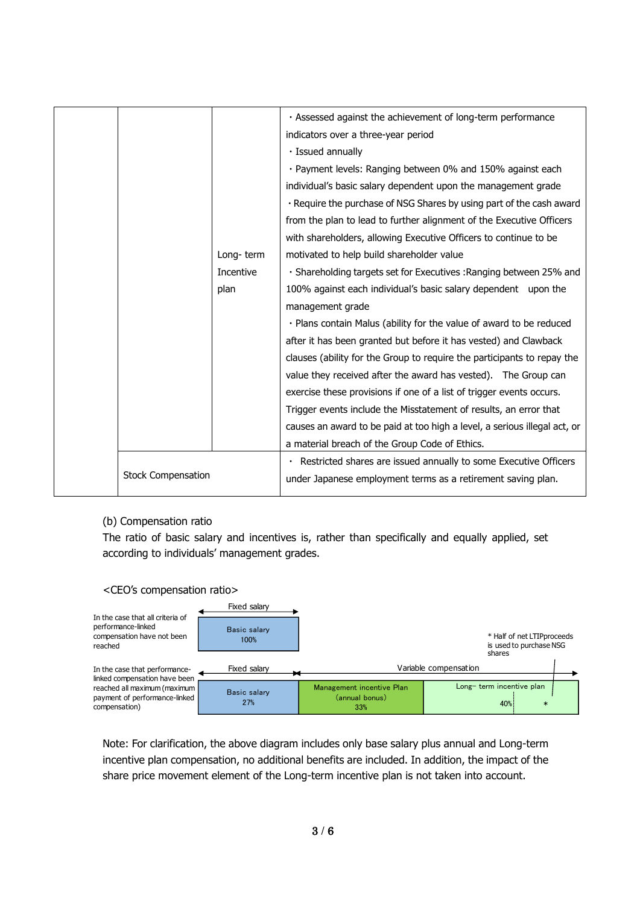|                           |           | · Assessed against the achievement of long-term performance               |
|---------------------------|-----------|---------------------------------------------------------------------------|
|                           |           | indicators over a three-year period                                       |
|                           |           | · Issued annually                                                         |
|                           |           | · Payment levels: Ranging between 0% and 150% against each                |
|                           |           | individual's basic salary dependent upon the management grade             |
|                           |           | . Require the purchase of NSG Shares by using part of the cash award      |
|                           |           | from the plan to lead to further alignment of the Executive Officers      |
|                           |           | with shareholders, allowing Executive Officers to continue to be          |
|                           | Long-term | motivated to help build shareholder value                                 |
|                           | Incentive | · Shareholding targets set for Executives : Ranging between 25% and       |
|                           | plan      | 100% against each individual's basic salary dependent upon the            |
|                           |           | management grade                                                          |
|                           |           | . Plans contain Malus (ability for the value of award to be reduced       |
|                           |           | after it has been granted but before it has vested) and Clawback          |
|                           |           | clauses (ability for the Group to require the participants to repay the   |
|                           |           | value they received after the award has vested). The Group can            |
|                           |           | exercise these provisions if one of a list of trigger events occurs.      |
|                           |           | Trigger events include the Misstatement of results, an error that         |
|                           |           | causes an award to be paid at too high a level, a serious illegal act, or |
|                           |           | a material breach of the Group Code of Ethics.                            |
|                           |           | · Restricted shares are issued annually to some Executive Officers        |
| <b>Stock Compensation</b> |           | under Japanese employment terms as a retirement saving plan.              |
|                           |           |                                                                           |

#### (b) Compensation ratio

The ratio of basic salary and incentives is, rather than specifically and equally applied, set according to individuals' management grades.

#### <CEO's compensation ratio>

|                                                                                                 | Fixed salary               |                                                    |                                                                 |  |
|-------------------------------------------------------------------------------------------------|----------------------------|----------------------------------------------------|-----------------------------------------------------------------|--|
| In the case that all criteria of<br>performance-linked<br>compensation have not been<br>reached | Basic salary<br>100%       |                                                    | * Half of net LTIPproceeds<br>is used to purchase NSG<br>shares |  |
| In the case that performance-<br>linked compensation have been                                  | Fixed salarv               |                                                    | Variable compensation                                           |  |
| reached all maximum (maximum<br>payment of performance-linked<br>compensation)                  | <b>Basic salary</b><br>27% | Management incentive Plan<br>(annual bonus)<br>33% | Long-term incentive plan<br>40%<br>$\ast$                       |  |

Note: For clarification, the above diagram includes only base salary plus annual and Long-term incentive plan compensation, no additional benefits are included. In addition, the impact of the share price movement element of the Long-term incentive plan is not taken into account.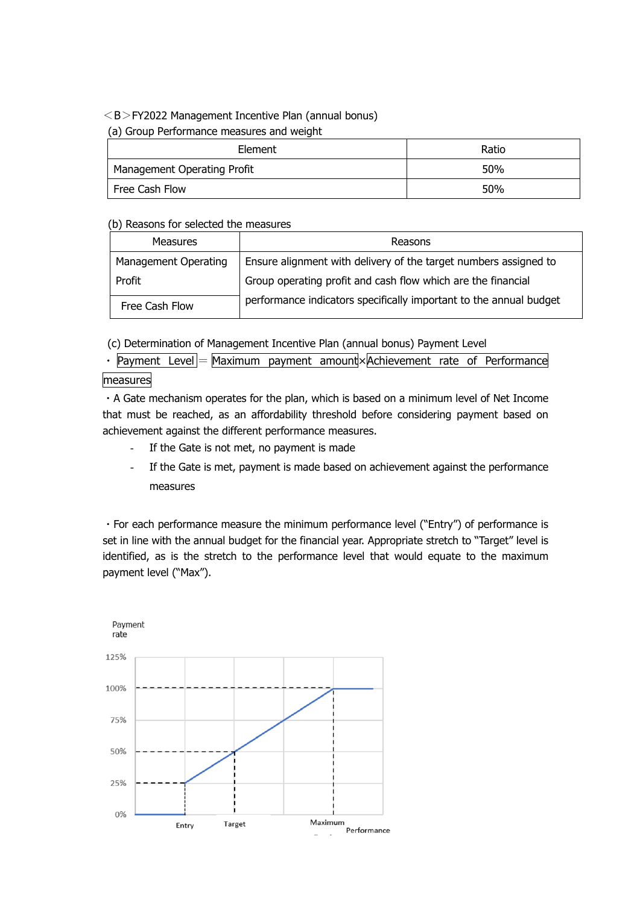#### $<$ B $>$ FY2022 Management Incentive Plan (annual bonus)

#### (a) Group Performance measures and weight

| Element                     | Ratio |
|-----------------------------|-------|
| Management Operating Profit | 50%   |
| Free Cash Flow              | 50%   |

#### (b) Reasons for selected the measures

| Measures             | Reasons                                                            |
|----------------------|--------------------------------------------------------------------|
| Management Operating | Ensure alignment with delivery of the target numbers assigned to   |
| Profit               | Group operating profit and cash flow which are the financial       |
| Free Cash Flow       | performance indicators specifically important to the annual budget |

(c) Determination of Management Incentive Plan (annual bonus) Payment Level

 $\mathsf{Payment}\ \mathsf{Level} = \mathsf{Maximum}\ \mathsf{payment}\ \mathsf{amount} \times \mathsf{Action}$  rate of Performance

# measures

・A Gate mechanism operates for the plan, which is based on a minimum level of Net Income that must be reached, as an affordability threshold before considering payment based on achievement against the different performance measures.

- If the Gate is not met, no payment is made
- If the Gate is met, payment is made based on achievement against the performance measures

・For each performance measure the minimum performance level ("Entry") of performance is set in line with the annual budget for the financial year. Appropriate stretch to "Target" level is identified, as is the stretch to the performance level that would equate to the maximum payment level ("Max").

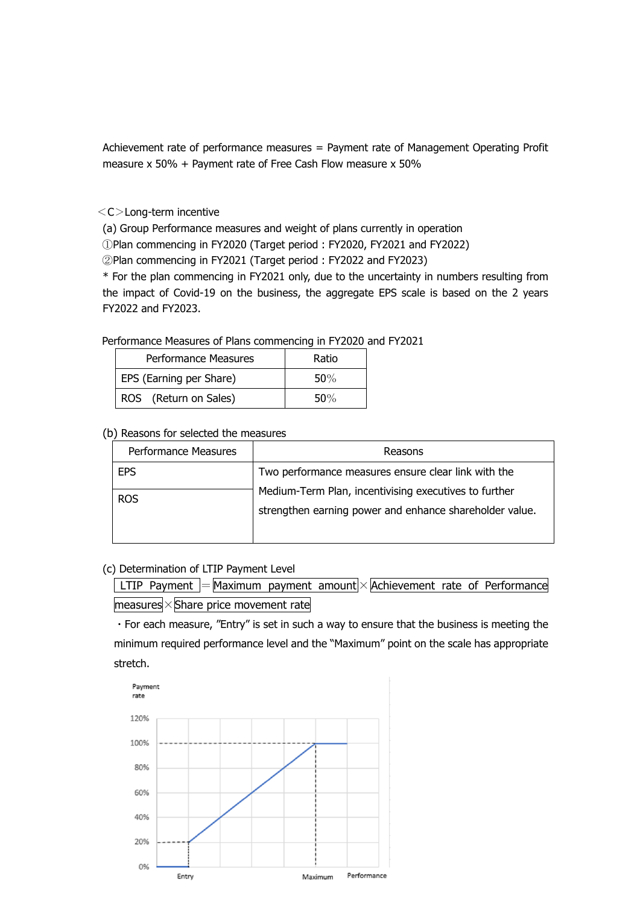Achievement rate of performance measures = Payment rate of Management Operating Profit measure x 50% + Payment rate of Free Cash Flow measure x 50%

<C>Long-term incentive

(a) Group Performance measures and weight of plans currently in operation

①Plan commencing in FY2020 (Target period : FY2020, FY2021 and FY2022)

②Plan commencing in FY2021 (Target period : FY2022 and FY2023)

\* For the plan commencing in FY2021 only, due to the uncertainty in numbers resulting from the impact of Covid-19 on the business, the aggregate EPS scale is based on the 2 years FY2022 and FY2023.

| Performance Measures    | Ratio |
|-------------------------|-------|
| EPS (Earning per Share) | 50%   |
| ROS (Return on Sales)   | 50%   |

## Performance Measures of Plans commencing in FY2020 and FY2021

|  |  |  |  |  | (b) Reasons for selected the measures |
|--|--|--|--|--|---------------------------------------|
|--|--|--|--|--|---------------------------------------|

| Performance Measures | Reasons                                                                                                          |
|----------------------|------------------------------------------------------------------------------------------------------------------|
| <b>EPS</b>           | Two performance measures ensure clear link with the                                                              |
| <b>ROS</b>           | Medium-Term Plan, incentivising executives to further<br>strengthen earning power and enhance shareholder value. |

#### (c) Determination of LTIP Payment Level

 $\boxed{\text{LTIP Payment}}$  = Maximum payment amount  $\times$  Achievement rate of Performance  $measures \times$ Share price movement rate

・For each measure, "Entry" is set in such a way to ensure that the business is meeting the minimum required performance level and the "Maximum" point on the scale has appropriate stretch.